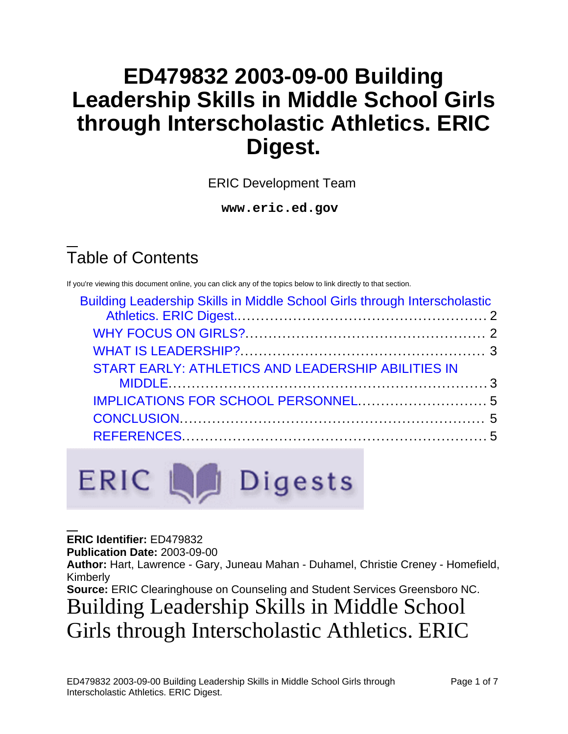# **ED479832 2003-09-00 Building Leadership Skills in Middle School Girls through Interscholastic Athletics. ERIC Digest.**

ERIC Development Team

**www.eric.ed.gov**

# Table of Contents

If you're viewing this document online, you can click any of the topics below to link directly to that section.

| Building Leadership Skills in Middle School Girls through Interscholastic |  |
|---------------------------------------------------------------------------|--|
|                                                                           |  |
|                                                                           |  |
|                                                                           |  |
| START EARLY: ATHLETICS AND LEADERSHIP ABILITIES IN                        |  |
|                                                                           |  |
|                                                                           |  |
|                                                                           |  |

ERIC La Digests

#### **ERIC Identifier:** ED479832 **Publication Date:** 2003-09-00

**Author:** Hart, Lawrence - Gary, Juneau Mahan - Duhamel, Christie Creney - Homefield, Kimberly

**Source:** ERIC Clearinghouse on Counseling and Student Services Greensboro NC.

Building Leadership Skills in Middle School Girls through Interscholastic Athletics. ERIC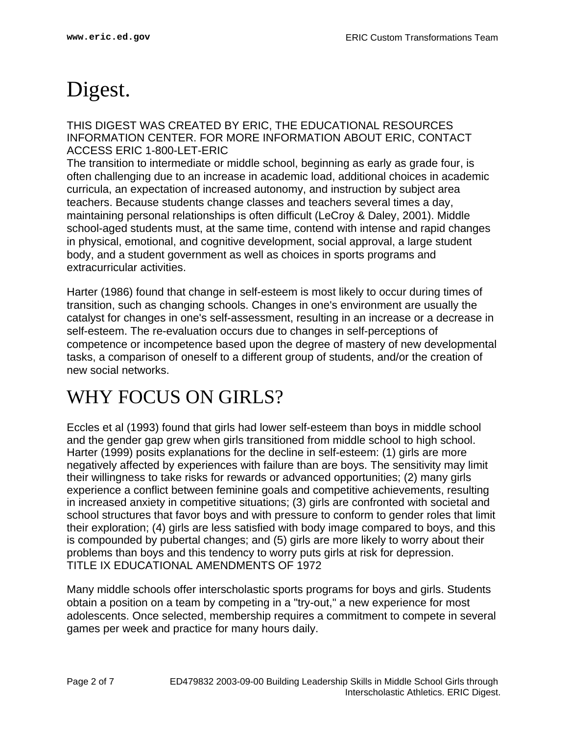# <span id="page-1-0"></span>Digest.

THIS DIGEST WAS CREATED BY ERIC, THE EDUCATIONAL RESOURCES INFORMATION CENTER. FOR MORE INFORMATION ABOUT ERIC, CONTACT ACCESS ERIC 1-800-LET-ERIC

The transition to intermediate or middle school, beginning as early as grade four, is often challenging due to an increase in academic load, additional choices in academic curricula, an expectation of increased autonomy, and instruction by subject area teachers. Because students change classes and teachers several times a day, maintaining personal relationships is often difficult (LeCroy & Daley, 2001). Middle school-aged students must, at the same time, contend with intense and rapid changes in physical, emotional, and cognitive development, social approval, a large student body, and a student government as well as choices in sports programs and extracurricular activities.

Harter (1986) found that change in self-esteem is most likely to occur during times of transition, such as changing schools. Changes in one's environment are usually the catalyst for changes in one's self-assessment, resulting in an increase or a decrease in self-esteem. The re-evaluation occurs due to changes in self-perceptions of competence or incompetence based upon the degree of mastery of new developmental tasks, a comparison of oneself to a different group of students, and/or the creation of new social networks.

## <span id="page-1-1"></span>WHY FOCUS ON GIRLS?

Eccles et al (1993) found that girls had lower self-esteem than boys in middle school and the gender gap grew when girls transitioned from middle school to high school. Harter (1999) posits explanations for the decline in self-esteem: (1) girls are more negatively affected by experiences with failure than are boys. The sensitivity may limit their willingness to take risks for rewards or advanced opportunities; (2) many girls experience a conflict between feminine goals and competitive achievements, resulting in increased anxiety in competitive situations; (3) girls are confronted with societal and school structures that favor boys and with pressure to conform to gender roles that limit their exploration; (4) girls are less satisfied with body image compared to boys, and this is compounded by pubertal changes; and (5) girls are more likely to worry about their problems than boys and this tendency to worry puts girls at risk for depression. TITLE IX EDUCATIONAL AMENDMENTS OF 1972

Many middle schools offer interscholastic sports programs for boys and girls. Students obtain a position on a team by competing in a "try-out," a new experience for most adolescents. Once selected, membership requires a commitment to compete in several games per week and practice for many hours daily.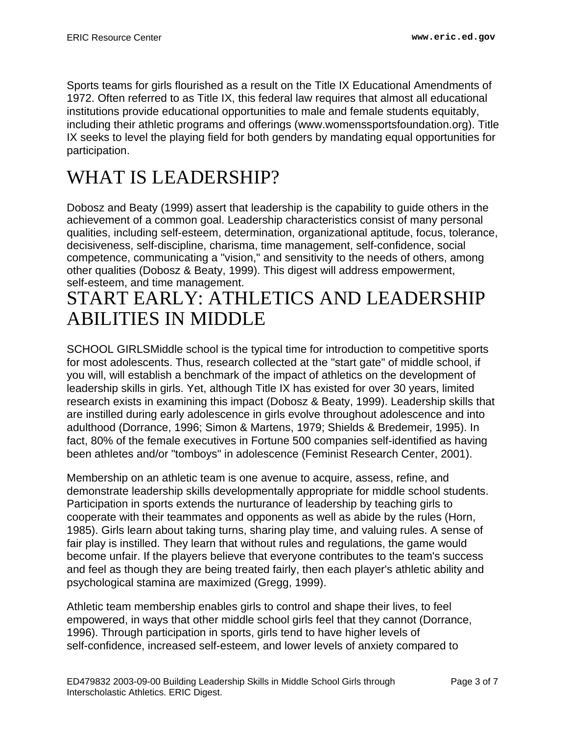Sports teams for girls flourished as a result on the Title IX Educational Amendments of 1972. Often referred to as Title IX, this federal law requires that almost all educational institutions provide educational opportunities to male and female students equitably, including their athletic programs and offerings (www.womenssportsfoundation.org). Title IX seeks to level the playing field for both genders by mandating equal opportunities for participation.

## <span id="page-2-0"></span>WHAT IS LEADERSHIP?

Dobosz and Beaty (1999) assert that leadership is the capability to guide others in the achievement of a common goal. Leadership characteristics consist of many personal qualities, including self-esteem, determination, organizational aptitude, focus, tolerance, decisiveness, self-discipline, charisma, time management, self-confidence, social competence, communicating a "vision," and sensitivity to the needs of others, among other qualities (Dobosz & Beaty, 1999). This digest will address empowerment, self-esteem, and time management.

## <span id="page-2-1"></span>START EARLY: ATHLETICS AND LEADERSHIP ABILITIES IN MIDDLE

SCHOOL GIRLSMiddle school is the typical time for introduction to competitive sports for most adolescents. Thus, research collected at the "start gate" of middle school, if you will, will establish a benchmark of the impact of athletics on the development of leadership skills in girls. Yet, although Title IX has existed for over 30 years, limited research exists in examining this impact (Dobosz & Beaty, 1999). Leadership skills that are instilled during early adolescence in girls evolve throughout adolescence and into adulthood (Dorrance, 1996; Simon & Martens, 1979; Shields & Bredemeir, 1995). In fact, 80% of the female executives in Fortune 500 companies self-identified as having been athletes and/or "tomboys" in adolescence (Feminist Research Center, 2001).

Membership on an athletic team is one avenue to acquire, assess, refine, and demonstrate leadership skills developmentally appropriate for middle school students. Participation in sports extends the nurturance of leadership by teaching girls to cooperate with their teammates and opponents as well as abide by the rules (Horn, 1985). Girls learn about taking turns, sharing play time, and valuing rules. A sense of fair play is instilled. They learn that without rules and regulations, the game would become unfair. If the players believe that everyone contributes to the team's success and feel as though they are being treated fairly, then each player's athletic ability and psychological stamina are maximized (Gregg, 1999).

Athletic team membership enables girls to control and shape their lives, to feel empowered, in ways that other middle school girls feel that they cannot (Dorrance, 1996). Through participation in sports, girls tend to have higher levels of self-confidence, increased self-esteem, and lower levels of anxiety compared to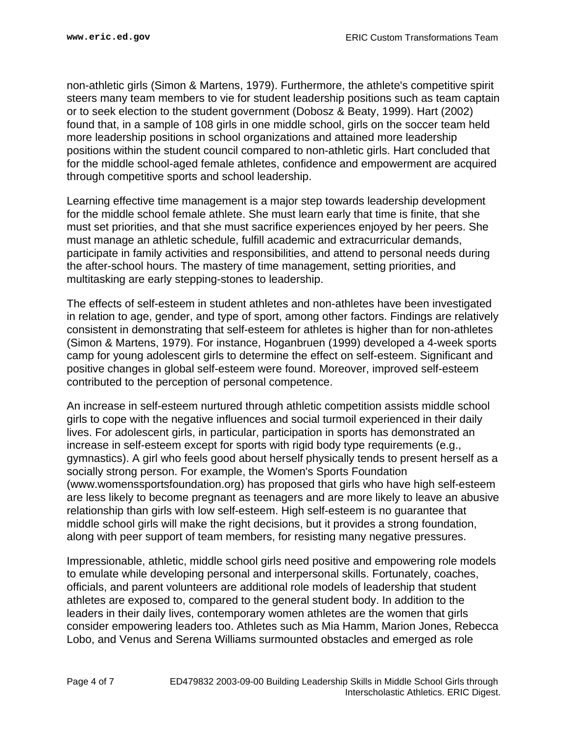non-athletic girls (Simon & Martens, 1979). Furthermore, the athlete's competitive spirit steers many team members to vie for student leadership positions such as team captain or to seek election to the student government (Dobosz & Beaty, 1999). Hart (2002) found that, in a sample of 108 girls in one middle school, girls on the soccer team held more leadership positions in school organizations and attained more leadership positions within the student council compared to non-athletic girls. Hart concluded that for the middle school-aged female athletes, confidence and empowerment are acquired through competitive sports and school leadership.

Learning effective time management is a major step towards leadership development for the middle school female athlete. She must learn early that time is finite, that she must set priorities, and that she must sacrifice experiences enjoyed by her peers. She must manage an athletic schedule, fulfill academic and extracurricular demands, participate in family activities and responsibilities, and attend to personal needs during the after-school hours. The mastery of time management, setting priorities, and multitasking are early stepping-stones to leadership.

The effects of self-esteem in student athletes and non-athletes have been investigated in relation to age, gender, and type of sport, among other factors. Findings are relatively consistent in demonstrating that self-esteem for athletes is higher than for non-athletes (Simon & Martens, 1979). For instance, Hoganbruen (1999) developed a 4-week sports camp for young adolescent girls to determine the effect on self-esteem. Significant and positive changes in global self-esteem were found. Moreover, improved self-esteem contributed to the perception of personal competence.

An increase in self-esteem nurtured through athletic competition assists middle school girls to cope with the negative influences and social turmoil experienced in their daily lives. For adolescent girls, in particular, participation in sports has demonstrated an increase in self-esteem except for sports with rigid body type requirements (e.g., gymnastics). A girl who feels good about herself physically tends to present herself as a socially strong person. For example, the Women's Sports Foundation (www.womenssportsfoundation.org) has proposed that girls who have high self-esteem are less likely to become pregnant as teenagers and are more likely to leave an abusive relationship than girls with low self-esteem. High self-esteem is no guarantee that middle school girls will make the right decisions, but it provides a strong foundation, along with peer support of team members, for resisting many negative pressures.

Impressionable, athletic, middle school girls need positive and empowering role models to emulate while developing personal and interpersonal skills. Fortunately, coaches, officials, and parent volunteers are additional role models of leadership that student athletes are exposed to, compared to the general student body. In addition to the leaders in their daily lives, contemporary women athletes are the women that girls consider empowering leaders too. Athletes such as Mia Hamm, Marion Jones, Rebecca Lobo, and Venus and Serena Williams surmounted obstacles and emerged as role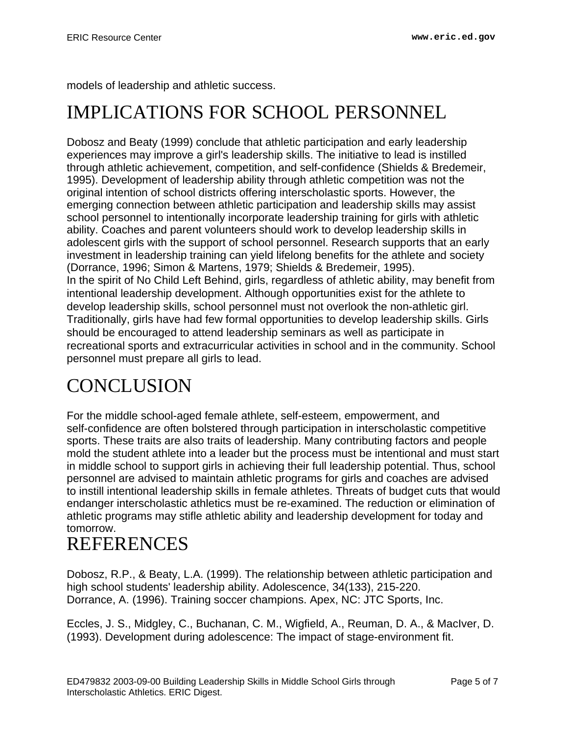models of leadership and athletic success.

## <span id="page-4-0"></span>IMPLICATIONS FOR SCHOOL PERSONNEL

Dobosz and Beaty (1999) conclude that athletic participation and early leadership experiences may improve a girl's leadership skills. The initiative to lead is instilled through athletic achievement, competition, and self-confidence (Shields & Bredemeir, 1995). Development of leadership ability through athletic competition was not the original intention of school districts offering interscholastic sports. However, the emerging connection between athletic participation and leadership skills may assist school personnel to intentionally incorporate leadership training for girls with athletic ability. Coaches and parent volunteers should work to develop leadership skills in adolescent girls with the support of school personnel. Research supports that an early investment in leadership training can yield lifelong benefits for the athlete and society (Dorrance, 1996; Simon & Martens, 1979; Shields & Bredemeir, 1995). In the spirit of No Child Left Behind, girls, regardless of athletic ability, may benefit from intentional leadership development. Although opportunities exist for the athlete to develop leadership skills, school personnel must not overlook the non-athletic girl. Traditionally, girls have had few formal opportunities to develop leadership skills. Girls should be encouraged to attend leadership seminars as well as participate in recreational sports and extracurricular activities in school and in the community. School personnel must prepare all girls to lead.

## <span id="page-4-1"></span>**CONCLUSION**

For the middle school-aged female athlete, self-esteem, empowerment, and self-confidence are often bolstered through participation in interscholastic competitive sports. These traits are also traits of leadership. Many contributing factors and people mold the student athlete into a leader but the process must be intentional and must start in middle school to support girls in achieving their full leadership potential. Thus, school personnel are advised to maintain athletic programs for girls and coaches are advised to instill intentional leadership skills in female athletes. Threats of budget cuts that would endanger interscholastic athletics must be re-examined. The reduction or elimination of athletic programs may stifle athletic ability and leadership development for today and tomorrow.

### <span id="page-4-2"></span>REFERENCES

Dobosz, R.P., & Beaty, L.A. (1999). The relationship between athletic participation and high school students' leadership ability. Adolescence, 34(133), 215-220. Dorrance, A. (1996). Training soccer champions. Apex, NC: JTC Sports, Inc.

Eccles, J. S., Midgley, C., Buchanan, C. M., Wigfield, A., Reuman, D. A., & MacIver, D. (1993). Development during adolescence: The impact of stage-environment fit.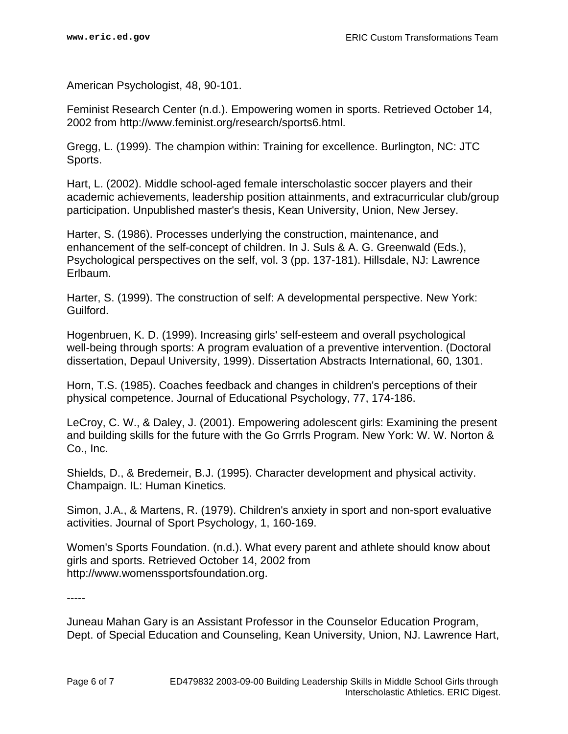American Psychologist, 48, 90-101.

Feminist Research Center (n.d.). Empowering women in sports. Retrieved October 14, 2002 from http://www.feminist.org/research/sports6.html.

Gregg, L. (1999). The champion within: Training for excellence. Burlington, NC: JTC Sports.

Hart, L. (2002). Middle school-aged female interscholastic soccer players and their academic achievements, leadership position attainments, and extracurricular club/group participation. Unpublished master's thesis, Kean University, Union, New Jersey.

Harter, S. (1986). Processes underlying the construction, maintenance, and enhancement of the self-concept of children. In J. Suls & A. G. Greenwald (Eds.), Psychological perspectives on the self, vol. 3 (pp. 137-181). Hillsdale, NJ: Lawrence Erlbaum.

Harter, S. (1999). The construction of self: A developmental perspective. New York: Guilford.

Hogenbruen, K. D. (1999). Increasing girls' self-esteem and overall psychological well-being through sports: A program evaluation of a preventive intervention. (Doctoral dissertation, Depaul University, 1999). Dissertation Abstracts International, 60, 1301.

Horn, T.S. (1985). Coaches feedback and changes in children's perceptions of their physical competence. Journal of Educational Psychology, 77, 174-186.

LeCroy, C. W., & Daley, J. (2001). Empowering adolescent girls: Examining the present and building skills for the future with the Go Grrrls Program. New York: W. W. Norton & Co., Inc.

Shields, D., & Bredemeir, B.J. (1995). Character development and physical activity. Champaign. IL: Human Kinetics.

Simon, J.A., & Martens, R. (1979). Children's anxiety in sport and non-sport evaluative activities. Journal of Sport Psychology, 1, 160-169.

Women's Sports Foundation. (n.d.). What every parent and athlete should know about girls and sports. Retrieved October 14, 2002 from http://www.womenssportsfoundation.org.

-----

Juneau Mahan Gary is an Assistant Professor in the Counselor Education Program, Dept. of Special Education and Counseling, Kean University, Union, NJ. Lawrence Hart,